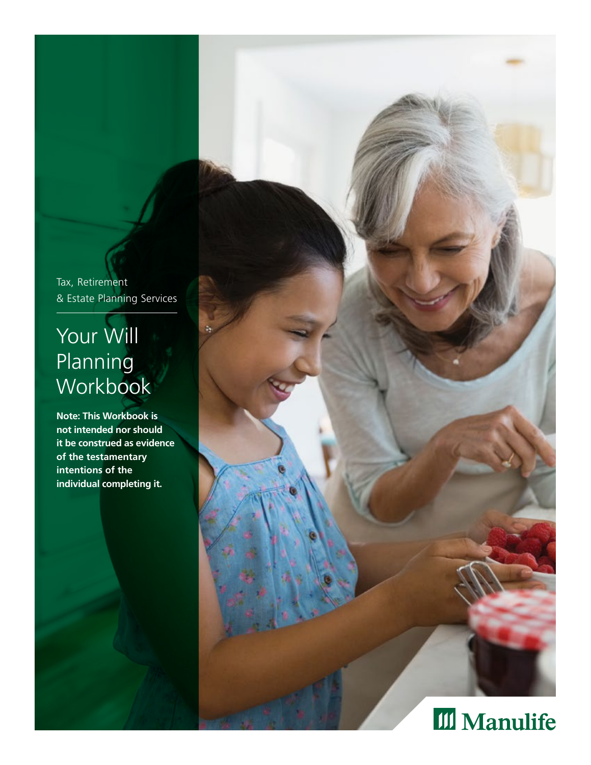Tax, Retirement & Estate Planning Services

# Your Will Planning **Workbook**

**Note: This Workbook is not intended nor should it be construed as evidence of the testamentary intentions of the individual completing it.**

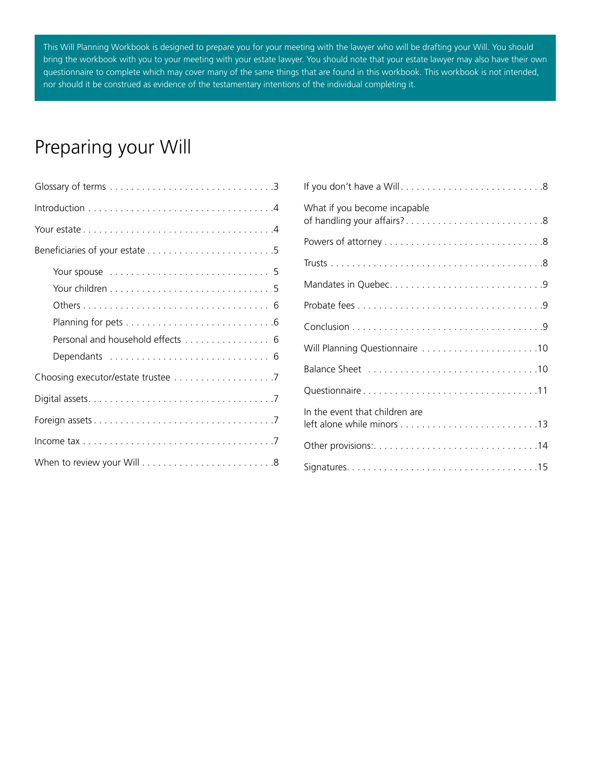This Will Planning Workbook is designed to prepare you for your meeting with the lawyer who will be drafting your Will. You should bring the workbook with you to your meeting with your estate lawyer. You should note that your estate lawyer may also have their own questionnaire to complete which may cover many of the same things that are found in this workbook. This workbook is not intended, nor should it be construed as evidence of the testamentary intentions of the individual completing it.

## Preparing your Will

| Personal and household effects 6 |
|----------------------------------|
|                                  |
|                                  |
|                                  |
|                                  |
|                                  |
|                                  |

| What if you become incapable   |
|--------------------------------|
|                                |
|                                |
|                                |
|                                |
|                                |
| Will Planning Questionnaire 10 |
|                                |
| Questionnaire11                |
| In the event that children are |
|                                |
|                                |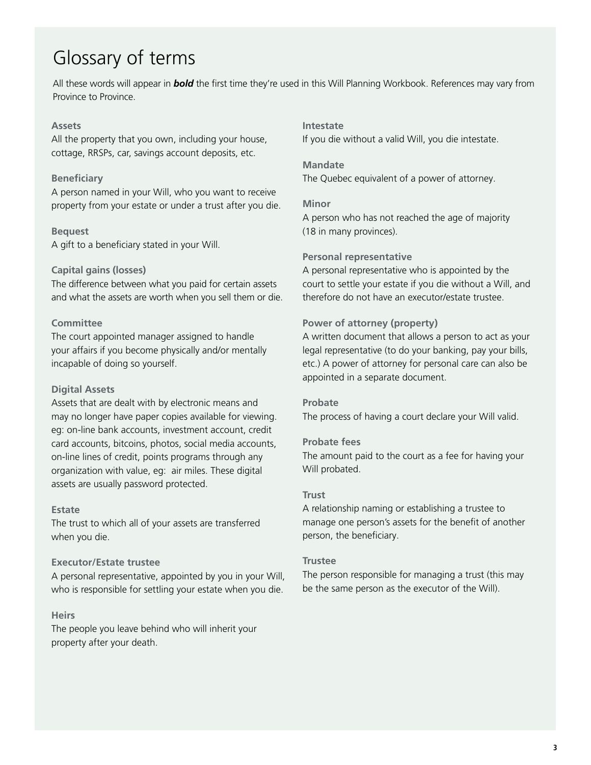## <span id="page-2-0"></span>Glossary of terms

All these words will appear in *bold* the first time they're used in this Will Planning Workbook. References may vary from Province to Province.

#### **Assets**

All the property that you own, including your house, cottage, RRSPs, car, savings account deposits, etc.

#### **Beneficiary**

A person named in your Will, who you want to receive property from your estate or under a trust after you die.

#### **Bequest**

A gift to a beneficiary stated in your Will.

#### **Capital gains (losses)**

The difference between what you paid for certain assets and what the assets are worth when you sell them or die.

#### **Committee**

The court appointed manager assigned to handle your affairs if you become physically and/or mentally incapable of doing so yourself.

#### **Digital Assets**

Assets that are dealt with by electronic means and may no longer have paper copies available for viewing. eg: on-line bank accounts, investment account, credit card accounts, bitcoins, photos, social media accounts, on-line lines of credit, points programs through any organization with value, eg: air miles. These digital assets are usually password protected.

#### **Estate**

The trust to which all of your assets are transferred when you die.

#### **Executor/Estate trustee**

A personal representative, appointed by you in your Will, who is responsible for settling your estate when you die.

#### **Heirs**

The people you leave behind who will inherit your property after your death.

#### **Intestate**

If you die without a valid Will, you die intestate.

#### **Mandate**

The Quebec equivalent of a power of attorney.

#### **Minor**

A person who has not reached the age of majority (18 in many provinces).

#### **Personal representative**

A personal representative who is appointed by the court to settle your estate if you die without a Will, and therefore do not have an executor/estate trustee.

#### **Power of attorney (property)**

A written document that allows a person to act as your legal representative (to do your banking, pay your bills, etc.) A power of attorney for personal care can also be appointed in a separate document.

#### **Probate**

The process of having a court declare your Will valid.

#### **Probate fees**

The amount paid to the court as a fee for having your Will probated.

#### **Trust**

A relationship naming or establishing a trustee to manage one person's assets for the benefit of another person, the beneficiary.

#### **Trustee**

The person responsible for managing a trust (this may be the same person as the executor of the Will).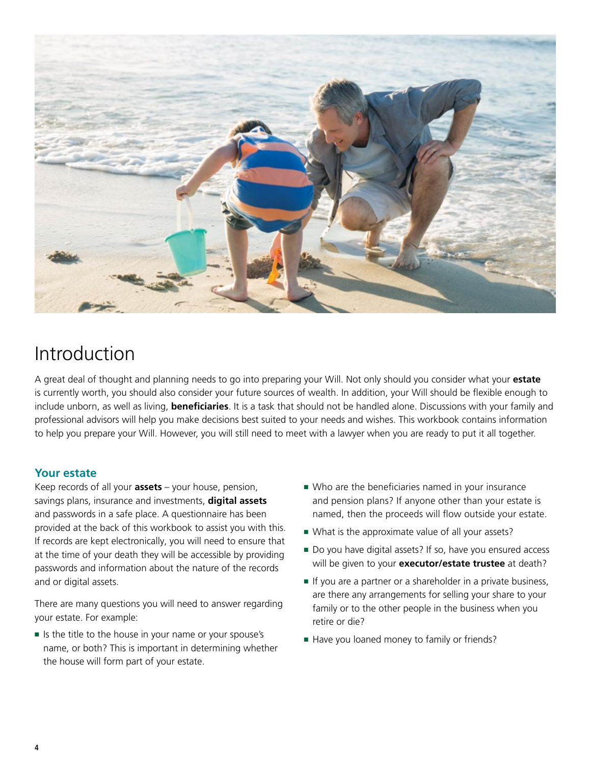<span id="page-3-0"></span>

## Introduction

A great deal of thought and planning needs to go into preparing your Will. Not only should you consider what your **estate** is currently worth, you should also consider your future sources of wealth. In addition, your Will should be flexible enough to include unborn, as well as living, **beneficiaries**. It is a task that should not be handled alone. Discussions with your family and professional advisors will help you make decisions best suited to your needs and wishes. This workbook contains information to help you prepare your Will. However, you will still need to meet with a lawyer when you are ready to put it all together.

## **Your estate**

Keep records of all your **assets** – your house, pension, savings plans, insurance and investments, **digital assets** and passwords in a safe place. A questionnaire has been provided at the back of this workbook to assist you with this. If records are kept electronically, you will need to ensure that at the time of your death they will be accessible by providing passwords and information about the nature of the records and or digital assets.

There are many questions you will need to answer regarding your estate. For example:

■ Is the title to the house in your name or your spouse's name, or both? This is important in determining whether the house will form part of your estate.

- Who are the beneficiaries named in your insurance and pension plans? If anyone other than your estate is named, then the proceeds will flow outside your estate.
- What is the approximate value of all your assets?
- Do you have digital assets? If so, have you ensured access will be given to your **executor/estate trustee** at death?
- If you are a partner or a shareholder in a private business, are there any arrangements for selling your share to your family or to the other people in the business when you retire or die?
- Have you loaned money to family or friends?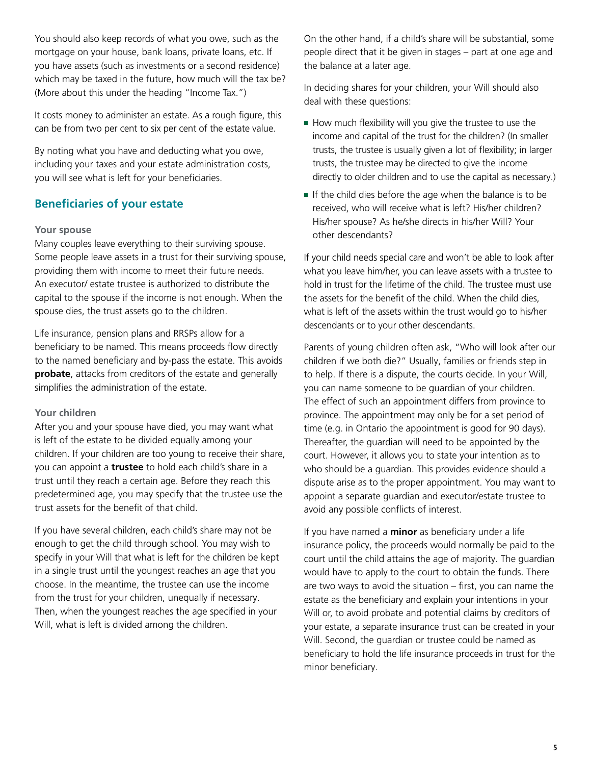<span id="page-4-0"></span>You should also keep records of what you owe, such as the mortgage on your house, bank loans, private loans, etc. If you have assets (such as investments or a second residence) which may be taxed in the future, how much will the tax be? (More about this under the heading "Income Tax.")

It costs money to administer an estate. As a rough figure, this can be from two per cent to six per cent of the estate value.

By noting what you have and deducting what you owe, including your taxes and your estate administration costs, you will see what is left for your beneficiaries.

## **Beneficiaries of your estate**

#### **Your spouse**

Many couples leave everything to their surviving spouse. Some people leave assets in a trust for their surviving spouse, providing them with income to meet their future needs. An executor/ estate trustee is authorized to distribute the capital to the spouse if the income is not enough. When the spouse dies, the trust assets go to the children.

Life insurance, pension plans and RRSPs allow for a beneficiary to be named. This means proceeds flow directly to the named beneficiary and by-pass the estate. This avoids **probate**, attacks from creditors of the estate and generally simplifies the administration of the estate.

#### **Your children**

After you and your spouse have died, you may want what is left of the estate to be divided equally among your children. If your children are too young to receive their share, you can appoint a **trustee** to hold each child's share in a trust until they reach a certain age. Before they reach this predetermined age, you may specify that the trustee use the trust assets for the benefit of that child.

If you have several children, each child's share may not be enough to get the child through school. You may wish to specify in your Will that what is left for the children be kept in a single trust until the youngest reaches an age that you choose. In the meantime, the trustee can use the income from the trust for your children, unequally if necessary. Then, when the youngest reaches the age specified in your Will, what is left is divided among the children.

On the other hand, if a child's share will be substantial, some people direct that it be given in stages – part at one age and the balance at a later age.

In deciding shares for your children, your Will should also deal with these questions:

- How much flexibility will you give the trustee to use the income and capital of the trust for the children? (In smaller trusts, the trustee is usually given a lot of flexibility; in larger trusts, the trustee may be directed to give the income directly to older children and to use the capital as necessary.)
- If the child dies before the age when the balance is to be received, who will receive what is left? His/her children? His/her spouse? As he/she directs in his/her Will? Your other descendants?

If your child needs special care and won't be able to look after what you leave him/her, you can leave assets with a trustee to hold in trust for the lifetime of the child. The trustee must use the assets for the benefit of the child. When the child dies, what is left of the assets within the trust would go to his/her descendants or to your other descendants.

Parents of young children often ask, "Who will look after our children if we both die?" Usually, families or friends step in to help. If there is a dispute, the courts decide. In your Will, you can name someone to be guardian of your children. The effect of such an appointment differs from province to province. The appointment may only be for a set period of time (e.g. in Ontario the appointment is good for 90 days). Thereafter, the guardian will need to be appointed by the court. However, it allows you to state your intention as to who should be a guardian. This provides evidence should a dispute arise as to the proper appointment. You may want to appoint a separate guardian and executor/estate trustee to avoid any possible conflicts of interest.

If you have named a **minor** as beneficiary under a life insurance policy, the proceeds would normally be paid to the court until the child attains the age of majority. The guardian would have to apply to the court to obtain the funds. There are two ways to avoid the situation – first, you can name the estate as the beneficiary and explain your intentions in your Will or, to avoid probate and potential claims by creditors of your estate, a separate insurance trust can be created in your Will. Second, the guardian or trustee could be named as beneficiary to hold the life insurance proceeds in trust for the minor beneficiary.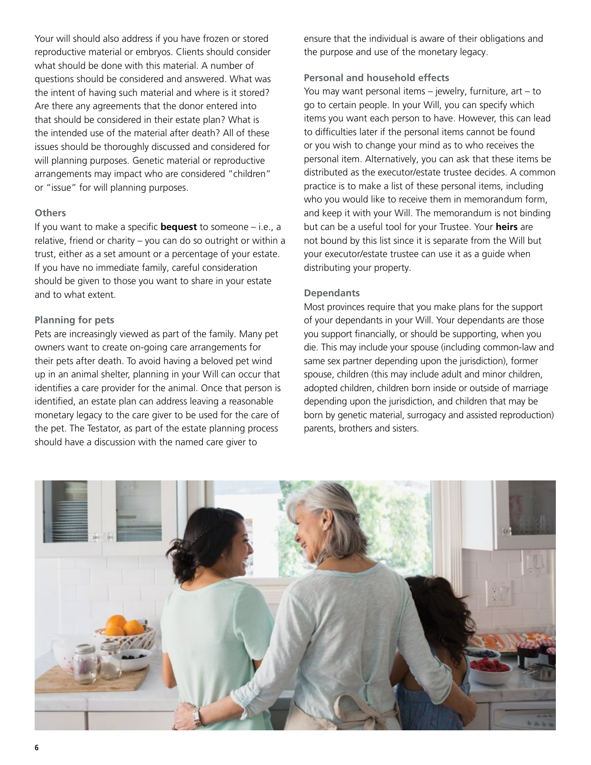Your will should also address if you have frozen or stored reproductive material or embryos. Clients should consider what should be done with this material. A number of questions should be considered and answered. What was the intent of having such material and where is it stored? Are there any agreements that the donor entered into that should be considered in their estate plan? What is the intended use of the material after death? All of these issues should be thoroughly discussed and considered for will planning purposes. Genetic material or reproductive arrangements may impact who are considered "children" or "issue" for will planning purposes.

#### **Others**

If you want to make a specific **bequest** to someone – i.e., a relative, friend or charity – you can do so outright or within a trust, either as a set amount or a percentage of your estate. If you have no immediate family, careful consideration should be given to those you want to share in your estate and to what extent.

#### **Planning for pets**

Pets are increasingly viewed as part of the family. Many pet owners want to create on-going care arrangements for their pets after death. To avoid having a beloved pet wind up in an animal shelter, planning in your Will can occur that identifies a care provider for the animal. Once that person is identified, an estate plan can address leaving a reasonable monetary legacy to the care giver to be used for the care of the pet. The Testator, as part of the estate planning process should have a discussion with the named care giver to

ensure that the individual is aware of their obligations and the purpose and use of the monetary legacy.

### **Personal and household effects**

You may want personal items – jewelry, furniture, art – to go to certain people. In your Will, you can specify which items you want each person to have. However, this can lead to difficulties later if the personal items cannot be found or you wish to change your mind as to who receives the personal item. Alternatively, you can ask that these items be distributed as the executor/estate trustee decides. A common practice is to make a list of these personal items, including who you would like to receive them in memorandum form, and keep it with your Will. The memorandum is not binding but can be a useful tool for your Trustee. Your **heirs** are not bound by this list since it is separate from the Will but your executor/estate trustee can use it as a guide when distributing your property.

### **Dependants**

Most provinces require that you make plans for the support of your dependants in your Will. Your dependants are those you support financially, or should be supporting, when you die. This may include your spouse (including common-law and same sex partner depending upon the jurisdiction), former spouse, children (this may include adult and minor children, adopted children, children born inside or outside of marriage depending upon the jurisdiction, and children that may be born by genetic material, surrogacy and assisted reproduction) parents, brothers and sisters.

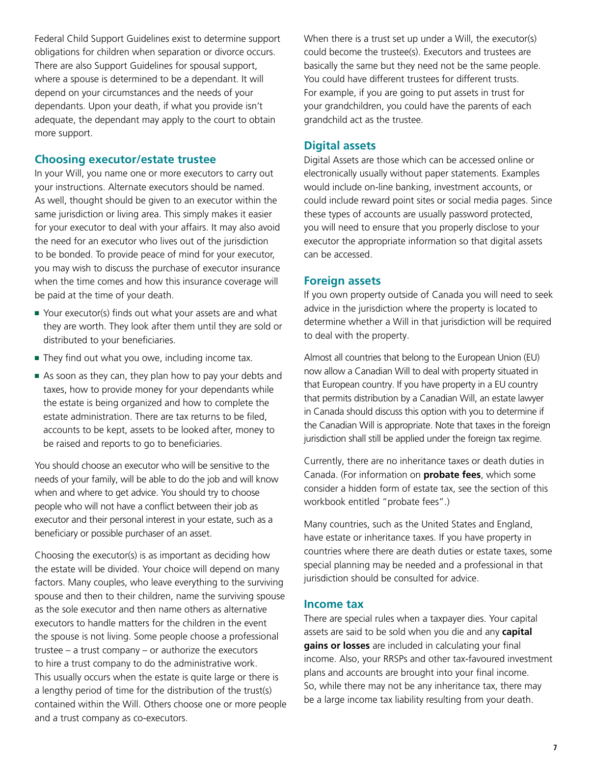<span id="page-6-0"></span>Federal Child Support Guidelines exist to determine support obligations for children when separation or divorce occurs. There are also Support Guidelines for spousal support, where a spouse is determined to be a dependant. It will depend on your circumstances and the needs of your dependants. Upon your death, if what you provide isn't adequate, the dependant may apply to the court to obtain more support.

## **Choosing executor/estate trustee**

In your Will, you name one or more executors to carry out your instructions. Alternate executors should be named. As well, thought should be given to an executor within the same jurisdiction or living area. This simply makes it easier for your executor to deal with your affairs. It may also avoid the need for an executor who lives out of the jurisdiction to be bonded. To provide peace of mind for your executor, you may wish to discuss the purchase of executor insurance when the time comes and how this insurance coverage will be paid at the time of your death.

- Your executor(s) finds out what your assets are and what they are worth. They look after them until they are sold or distributed to your beneficiaries.
- They find out what you owe, including income tax.
- As soon as they can, they plan how to pay your debts and taxes, how to provide money for your dependants while the estate is being organized and how to complete the estate administration. There are tax returns to be filed, accounts to be kept, assets to be looked after, money to be raised and reports to go to beneficiaries.

You should choose an executor who will be sensitive to the needs of your family, will be able to do the job and will know when and where to get advice. You should try to choose people who will not have a conflict between their job as executor and their personal interest in your estate, such as a beneficiary or possible purchaser of an asset.

Choosing the executor(s) is as important as deciding how the estate will be divided. Your choice will depend on many factors. Many couples, who leave everything to the surviving spouse and then to their children, name the surviving spouse as the sole executor and then name others as alternative executors to handle matters for the children in the event the spouse is not living. Some people choose a professional trustee – a trust company – or authorize the executors to hire a trust company to do the administrative work. This usually occurs when the estate is quite large or there is a lengthy period of time for the distribution of the trust(s) contained within the Will. Others choose one or more people and a trust company as co-executors.

When there is a trust set up under a Will, the executor(s) could become the trustee(s). Executors and trustees are basically the same but they need not be the same people. You could have different trustees for different trusts. For example, if you are going to put assets in trust for your grandchildren, you could have the parents of each grandchild act as the trustee.

## **Digital assets**

Digital Assets are those which can be accessed online or electronically usually without paper statements. Examples would include on-line banking, investment accounts, or could include reward point sites or social media pages. Since these types of accounts are usually password protected, you will need to ensure that you properly disclose to your executor the appropriate information so that digital assets can be accessed.

## **Foreign assets**

If you own property outside of Canada you will need to seek advice in the jurisdiction where the property is located to determine whether a Will in that jurisdiction will be required to deal with the property.

Almost all countries that belong to the European Union (EU) now allow a Canadian Will to deal with property situated in that European country. If you have property in a EU country that permits distribution by a Canadian Will, an estate lawyer in Canada should discuss this option with you to determine if the Canadian Will is appropriate. Note that taxes in the foreign jurisdiction shall still be applied under the foreign tax regime.

Currently, there are no inheritance taxes or death duties in Canada. (For information on **probate fees**, which some consider a hidden form of estate tax, see the section of this workbook entitled "probate fees".)

Many countries, such as the United States and England, have estate or inheritance taxes. If you have property in countries where there are death duties or estate taxes, some special planning may be needed and a professional in that jurisdiction should be consulted for advice.

## **Income tax**

There are special rules when a taxpayer dies. Your capital assets are said to be sold when you die and any **capital gains or losses** are included in calculating your final income. Also, your RRSPs and other tax-favoured investment plans and accounts are brought into your final income. So, while there may not be any inheritance tax, there may be a large income tax liability resulting from your death.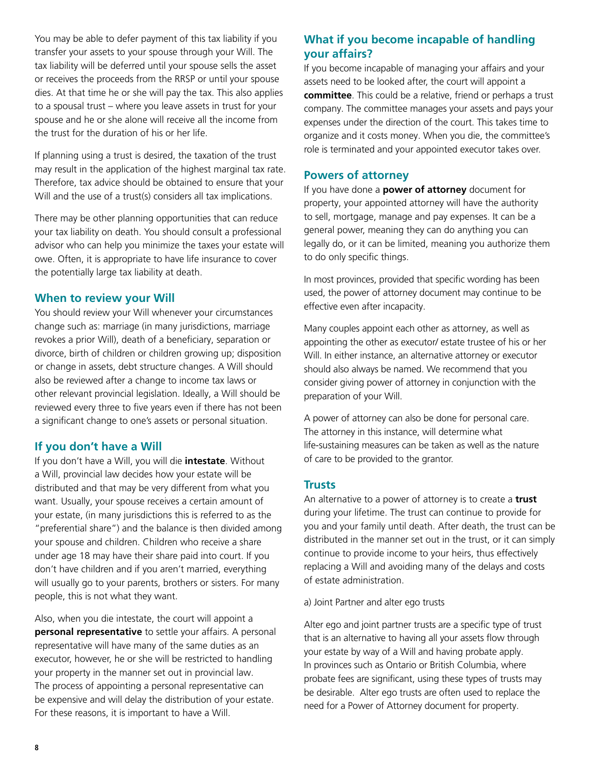<span id="page-7-0"></span>You may be able to defer payment of this tax liability if you transfer your assets to your spouse through your Will. The tax liability will be deferred until your spouse sells the asset or receives the proceeds from the RRSP or until your spouse dies. At that time he or she will pay the tax. This also applies to a spousal trust – where you leave assets in trust for your spouse and he or she alone will receive all the income from the trust for the duration of his or her life.

If planning using a trust is desired, the taxation of the trust may result in the application of the highest marginal tax rate. Therefore, tax advice should be obtained to ensure that your Will and the use of a trust(s) considers all tax implications.

There may be other planning opportunities that can reduce your tax liability on death. You should consult a professional advisor who can help you minimize the taxes your estate will owe. Often, it is appropriate to have life insurance to cover the potentially large tax liability at death.

## **When to review your Will**

You should review your Will whenever your circumstances change such as: marriage (in many jurisdictions, marriage revokes a prior Will), death of a beneficiary, separation or divorce, birth of children or children growing up; disposition or change in assets, debt structure changes. A Will should also be reviewed after a change to income tax laws or other relevant provincial legislation. Ideally, a Will should be reviewed every three to five years even if there has not been a significant change to one's assets or personal situation.

## **If you don't have a Will**

If you don't have a Will, you will die **intestate**. Without a Will, provincial law decides how your estate will be distributed and that may be very different from what you want. Usually, your spouse receives a certain amount of your estate, (in many jurisdictions this is referred to as the "preferential share") and the balance is then divided among your spouse and children. Children who receive a share under age 18 may have their share paid into court. If you don't have children and if you aren't married, everything will usually go to your parents, brothers or sisters. For many people, this is not what they want.

Also, when you die intestate, the court will appoint a **personal representative** to settle your affairs. A personal representative will have many of the same duties as an executor, however, he or she will be restricted to handling your property in the manner set out in provincial law. The process of appointing a personal representative can be expensive and will delay the distribution of your estate. For these reasons, it is important to have a Will.

## **What if you become incapable of handling your affairs?**

If you become incapable of managing your affairs and your assets need to be looked after, the court will appoint a **committee**. This could be a relative, friend or perhaps a trust company. The committee manages your assets and pays your expenses under the direction of the court. This takes time to organize and it costs money. When you die, the committee's role is terminated and your appointed executor takes over.

## **Powers of attorney**

If you have done a **power of attorney** document for property, your appointed attorney will have the authority to sell, mortgage, manage and pay expenses. It can be a general power, meaning they can do anything you can legally do, or it can be limited, meaning you authorize them to do only specific things.

In most provinces, provided that specific wording has been used, the power of attorney document may continue to be effective even after incapacity.

Many couples appoint each other as attorney, as well as appointing the other as executor/ estate trustee of his or her Will. In either instance, an alternative attorney or executor should also always be named. We recommend that you consider giving power of attorney in conjunction with the preparation of your Will.

A power of attorney can also be done for personal care. The attorney in this instance, will determine what life-sustaining measures can be taken as well as the nature of care to be provided to the grantor.

## **Trusts**

An alternative to a power of attorney is to create a **trust**  during your lifetime. The trust can continue to provide for you and your family until death. After death, the trust can be distributed in the manner set out in the trust, or it can simply continue to provide income to your heirs, thus effectively replacing a Will and avoiding many of the delays and costs of estate administration.

a) Joint Partner and alter ego trusts

Alter ego and joint partner trusts are a specific type of trust that is an alternative to having all your assets flow through your estate by way of a Will and having probate apply. In provinces such as Ontario or British Columbia, where probate fees are significant, using these types of trusts may be desirable. Alter ego trusts are often used to replace the need for a Power of Attorney document for property.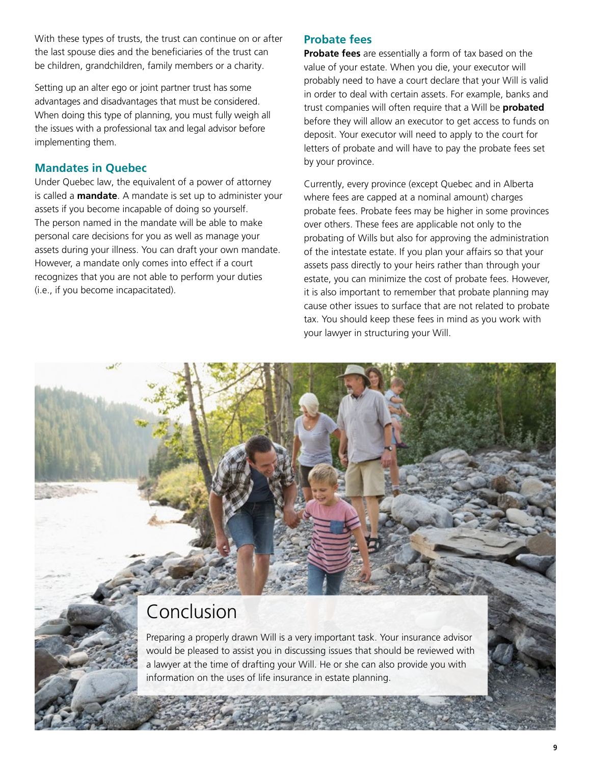<span id="page-8-0"></span>With these types of trusts, the trust can continue on or after the last spouse dies and the beneficiaries of the trust can be children, grandchildren, family members or a charity.

Setting up an alter ego or joint partner trust has some advantages and disadvantages that must be considered. When doing this type of planning, you must fully weigh all the issues with a professional tax and legal advisor before implementing them.

## **Mandates in Quebec**

Under Quebec law, the equivalent of a power of attorney is called a **mandate**. A mandate is set up to administer your assets if you become incapable of doing so yourself. The person named in the mandate will be able to make personal care decisions for you as well as manage your assets during your illness. You can draft your own mandate. However, a mandate only comes into effect if a court recognizes that you are not able to perform your duties (i.e., if you become incapacitated).

## **Probate fees**

**Probate fees** are essentially a form of tax based on the value of your estate. When you die, your executor will probably need to have a court declare that your Will is valid in order to deal with certain assets. For example, banks and trust companies will often require that a Will be **probated** before they will allow an executor to get access to funds on deposit. Your executor will need to apply to the court for letters of probate and will have to pay the probate fees set by your province.

Currently, every province (except Quebec and in Alberta where fees are capped at a nominal amount) charges probate fees. Probate fees may be higher in some provinces over others. These fees are applicable not only to the probating of Wills but also for approving the administration of the intestate estate. If you plan your affairs so that your assets pass directly to your heirs rather than through your estate, you can minimize the cost of probate fees. However, it is also important to remember that probate planning may cause other issues to surface that are not related to probate tax. You should keep these fees in mind as you work with your lawyer in structuring your Will.

## Conclusion

Preparing a properly drawn Will is a very important task. Your insurance advisor would be pleased to assist you in discussing issues that should be reviewed with a lawyer at the time of drafting your Will. He or she can also provide you with information on the uses of life insurance in estate planning.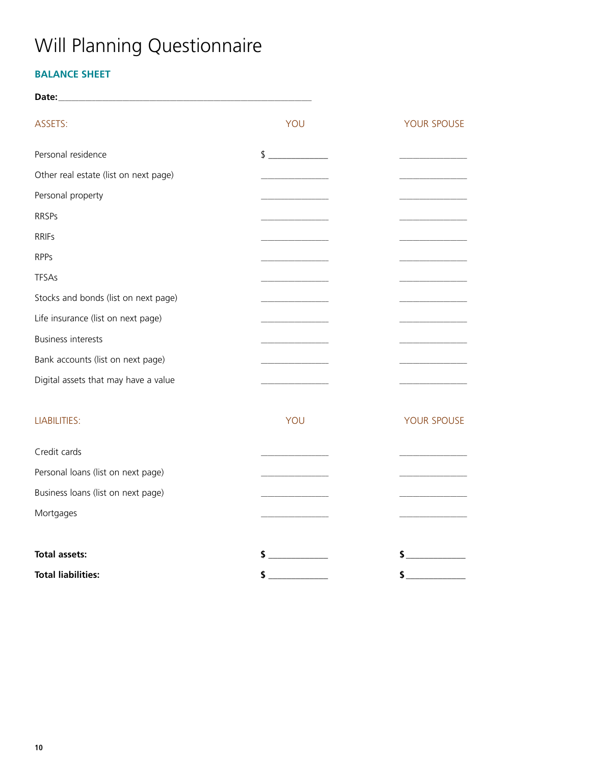# <span id="page-9-0"></span>Will Planning Questionnaire

## **BALANCE SHEET**

| Date:                                 |                                                                                                                        |                               |
|---------------------------------------|------------------------------------------------------------------------------------------------------------------------|-------------------------------|
| ASSETS:                               | YOU                                                                                                                    | YOUR SPOUSE                   |
| Personal residence                    | $\frac{1}{2}$                                                                                                          |                               |
| Other real estate (list on next page) |                                                                                                                        |                               |
| Personal property                     |                                                                                                                        |                               |
| <b>RRSPs</b>                          | <u> La Carlo Carlo Carlo Carlo Carlo Carlo Carlo Carlo Carlo Carlo Carlo Carlo Carlo Carlo Carlo Carlo Carlo Carlo</u> |                               |
| <b>RRIFs</b>                          |                                                                                                                        |                               |
| <b>RPPs</b>                           |                                                                                                                        | .                             |
| <b>TFSAs</b>                          |                                                                                                                        |                               |
| Stocks and bonds (list on next page)  |                                                                                                                        |                               |
| Life insurance (list on next page)    |                                                                                                                        |                               |
| <b>Business interests</b>             |                                                                                                                        |                               |
| Bank accounts (list on next page)     |                                                                                                                        |                               |
| Digital assets that may have a value  |                                                                                                                        |                               |
| <b>LIABILITIES:</b>                   | YOU                                                                                                                    | YOUR SPOUSE                   |
| Credit cards                          |                                                                                                                        |                               |
| Personal loans (list on next page)    |                                                                                                                        |                               |
| Business loans (list on next page)    |                                                                                                                        |                               |
| Mortgages                             |                                                                                                                        |                               |
| <b>Total assets:</b>                  | $\sim$                                                                                                                 |                               |
| <b>Total liabilities:</b>             | \$                                                                                                                     | <b>Contract Contract</b><br>S |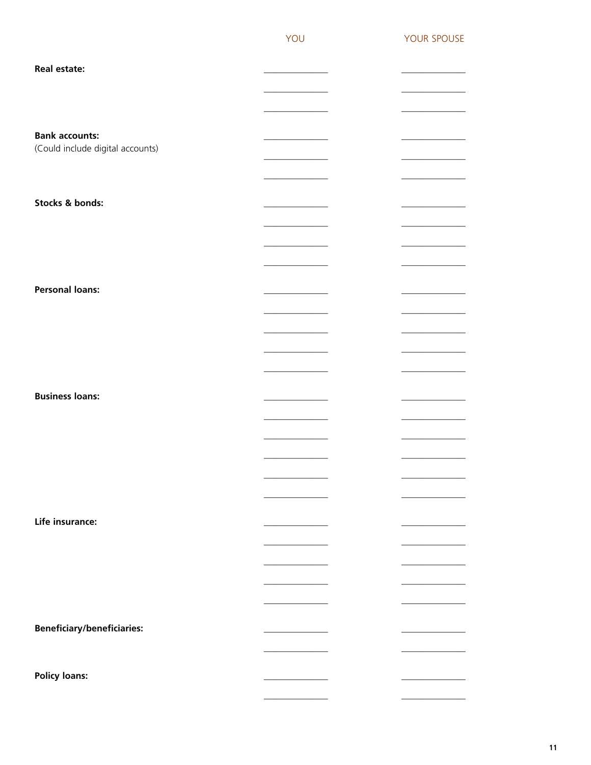| <b>Real estate:</b>               |                                   |  |
|-----------------------------------|-----------------------------------|--|
|                                   |                                   |  |
|                                   | the company of the company of     |  |
| <b>Bank accounts:</b>             |                                   |  |
| (Could include digital accounts)  |                                   |  |
|                                   |                                   |  |
|                                   |                                   |  |
| Stocks & bonds:                   |                                   |  |
|                                   |                                   |  |
|                                   |                                   |  |
|                                   |                                   |  |
|                                   |                                   |  |
| <b>Personal loans:</b>            |                                   |  |
|                                   |                                   |  |
|                                   | the control of the control of the |  |
|                                   |                                   |  |
|                                   | and the company of the company of |  |
|                                   |                                   |  |
| <b>Business loans:</b>            |                                   |  |
|                                   |                                   |  |
|                                   |                                   |  |
|                                   |                                   |  |
|                                   |                                   |  |
|                                   |                                   |  |
| Life insurance:                   |                                   |  |
|                                   |                                   |  |
|                                   |                                   |  |
|                                   |                                   |  |
|                                   |                                   |  |
|                                   |                                   |  |
| <b>Beneficiary/beneficiaries:</b> |                                   |  |
|                                   |                                   |  |
|                                   |                                   |  |
| <b>Policy loans:</b>              |                                   |  |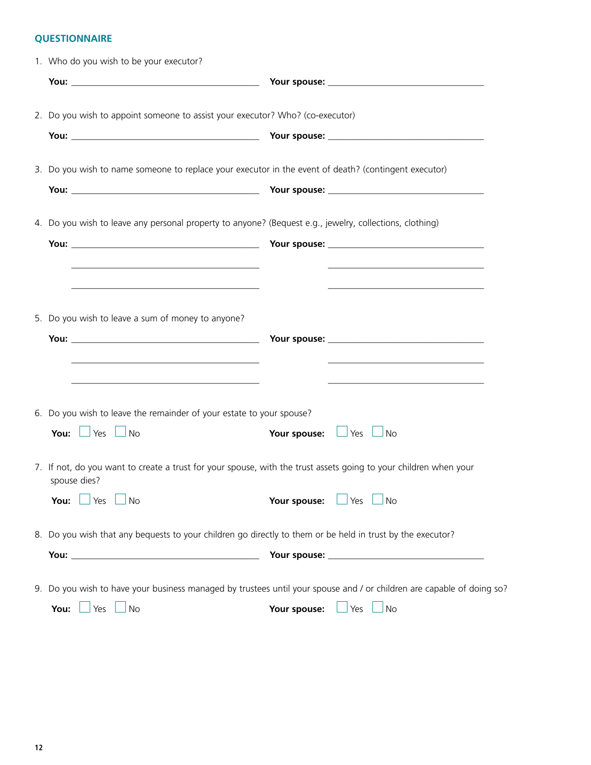## <span id="page-11-0"></span>**QUESTIONNAIRE**

| 1. Who do you wish to be your executor?                                                                                          |              |                                                            |
|----------------------------------------------------------------------------------------------------------------------------------|--------------|------------------------------------------------------------|
|                                                                                                                                  |              |                                                            |
| 2. Do you wish to appoint someone to assist your executor? Who? (co-executor)                                                    |              |                                                            |
|                                                                                                                                  |              |                                                            |
| 3. Do you wish to name someone to replace your executor in the event of death? (contingent executor)                             |              |                                                            |
|                                                                                                                                  |              |                                                            |
| 4. Do you wish to leave any personal property to anyone? (Bequest e.g., jewelry, collections, clothing)                          |              |                                                            |
|                                                                                                                                  |              |                                                            |
|                                                                                                                                  |              |                                                            |
|                                                                                                                                  |              |                                                            |
| 5. Do you wish to leave a sum of money to anyone?                                                                                |              |                                                            |
|                                                                                                                                  |              |                                                            |
| <u> 1989 - Johann Barbara, martxa alemaniar argumento este alemaniar alemaniar alemaniar alemaniar alemaniar al</u>              |              | <u> 1989 - Johann Barn, amerikansk politiker (d. 1989)</u> |
| 6. Do you wish to leave the remainder of your estate to your spouse?                                                             |              |                                                            |
| You: $\Box$ Yes<br>$\Box$ No                                                                                                     |              | Your spouse: U Yes U No                                    |
| 7. If not, do you want to create a trust for your spouse, with the trust assets going to your children when your<br>spouse dies? |              |                                                            |
| You: $\vert$<br>$\Box$ Yes<br>⊿No                                                                                                | Your spouse: | Yes<br>∫ No                                                |
| 8. Do you wish that any bequests to your children go directly to them or be held in trust by the executor?                       |              |                                                            |
|                                                                                                                                  |              |                                                            |
| 9. Do you wish to have your business managed by trustees until your spouse and / or children are capable of doing so?            |              |                                                            |
| <b>No</b><br>You:<br>Yes                                                                                                         | Your spouse: | Yes $\Box$ No                                              |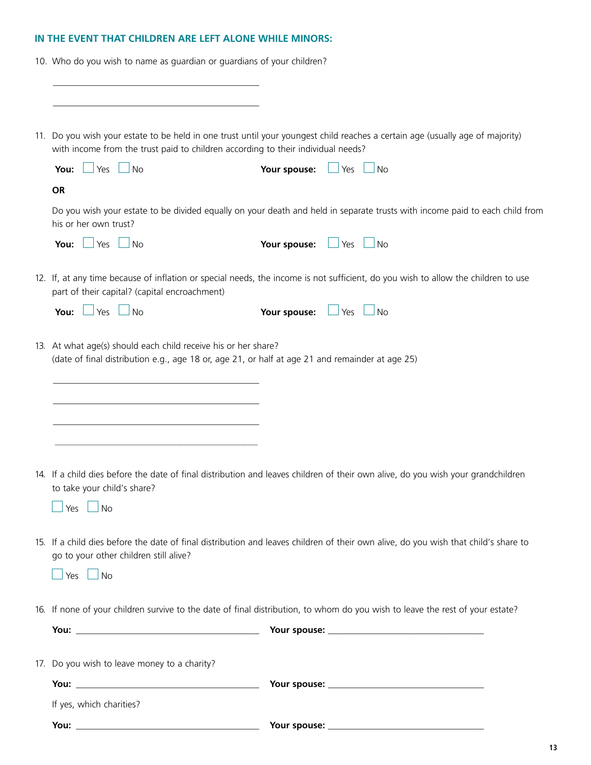## <span id="page-12-0"></span>**IN THE EVENT THAT CHILDREN ARE LEFT ALONE WHILE MINORS:**

10. Who do you wish to name as guardian or guardians of your children?

\_\_\_\_\_\_\_\_\_\_\_\_\_\_\_\_\_\_\_\_\_\_\_\_\_\_\_\_\_\_\_\_\_\_\_\_\_\_\_\_\_\_\_\_\_

| 11. Do you wish your estate to be held in one trust until your youngest child reaches a certain age (usually age of majority)<br>with income from the trust paid to children according to their individual needs? |                          |            |           |
|-------------------------------------------------------------------------------------------------------------------------------------------------------------------------------------------------------------------|--------------------------|------------|-----------|
| $\Box$ Yes $\Box$<br>No<br>You:                                                                                                                                                                                   | Your spouse:             | $\Box$ Yes | $\Box$ No |
| <b>OR</b>                                                                                                                                                                                                         |                          |            |           |
| Do you wish your estate to be divided equally on your death and held in separate trusts with income paid to each child from<br>his or her own trust?                                                              |                          |            |           |
| You: $\Box$ Yes $\Box$ No                                                                                                                                                                                         | Your spouse: Set Set Sho |            |           |
| 12. If, at any time because of inflation or special needs, the income is not sufficient, do you wish to allow the children to use<br>part of their capital? (capital encroachment)                                |                          |            |           |
| You: $\Box$ Yes $\Box$<br>No                                                                                                                                                                                      | Your spouse: U Yes U No  |            |           |
|                                                                                                                                                                                                                   |                          |            |           |
| 14. If a child dies before the date of final distribution and leaves children of their own alive, do you wish your grandchildren<br>to take your child's share?<br><b>No</b><br>Yes                               |                          |            |           |
| 15. If a child dies before the date of final distribution and leaves children of their own alive, do you wish that child's share to<br>go to your other children still alive?<br>$\Box$ Yes $\Box$ No             |                          |            |           |
| 16. If none of your children survive to the date of final distribution, to whom do you wish to leave the rest of your estate?                                                                                     |                          |            |           |
|                                                                                                                                                                                                                   |                          |            |           |
| 17. Do you wish to leave money to a charity?                                                                                                                                                                      |                          |            |           |
|                                                                                                                                                                                                                   |                          |            |           |
| If yes, which charities?                                                                                                                                                                                          |                          |            |           |
|                                                                                                                                                                                                                   |                          |            |           |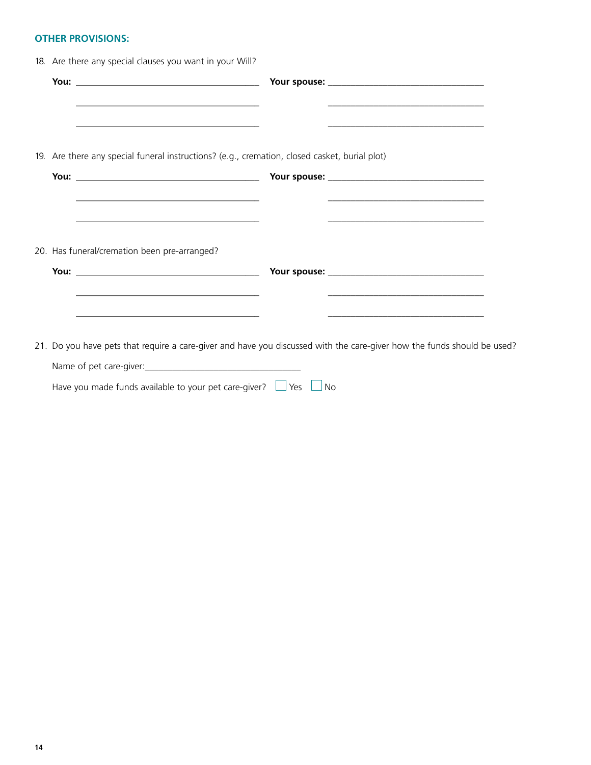## <span id="page-13-0"></span>**OTHER PROVISIONS:**

|                                                                                                                  | <u> 1989 - Johann John Stein, mars an deutscher Stein und der Stein und der Stein und der Stein und der Stein und</u>                                       |  |
|------------------------------------------------------------------------------------------------------------------|-------------------------------------------------------------------------------------------------------------------------------------------------------------|--|
|                                                                                                                  | <u> 1989 - Johann Barn, amerikansk politiker (d. 1989)</u><br>19. Are there any special funeral instructions? (e.g., cremation, closed casket, burial plot) |  |
|                                                                                                                  |                                                                                                                                                             |  |
|                                                                                                                  | <u> 2000 - Jan James James Jan James James James James James James James James James James James James James Jam</u>                                        |  |
|                                                                                                                  |                                                                                                                                                             |  |
| 20. Has funeral/cremation been pre-arranged?                                                                     |                                                                                                                                                             |  |
|                                                                                                                  |                                                                                                                                                             |  |
| <u> 1980 - Jan James James Barnett, fransk politik (d. 1980)</u>                                                 | the control of the control of the control of the control of the control of                                                                                  |  |
| and the control of the control of the control of the control of the control of the control of the control of the | and the control of the control of the control of the control of the control of the control of the control of the                                            |  |
|                                                                                                                  | 21. Do you have pets that require a care-giver and have you discussed with the care-giver how the funds should be used?                                     |  |
|                                                                                                                  |                                                                                                                                                             |  |
|                                                                                                                  |                                                                                                                                                             |  |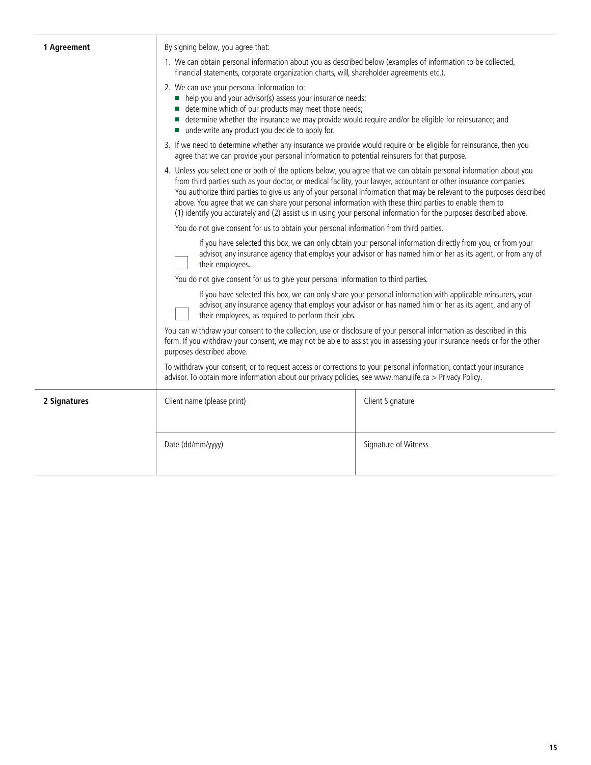| 1 Agreement  | By signing below, you agree that:                                                                                                                                                                                                                                                                                                                                                                                                                                                                                                                                                                   |                      |  |
|--------------|-----------------------------------------------------------------------------------------------------------------------------------------------------------------------------------------------------------------------------------------------------------------------------------------------------------------------------------------------------------------------------------------------------------------------------------------------------------------------------------------------------------------------------------------------------------------------------------------------------|----------------------|--|
|              | 1. We can obtain personal information about you as described below (examples of information to be collected,<br>financial statements, corporate organization charts, will, shareholder agreements etc.).                                                                                                                                                                                                                                                                                                                                                                                            |                      |  |
|              | 2. We can use your personal information to:<br>help you and your advisor(s) assess your insurance needs;<br>■ determine which of our products may meet those needs;<br>■ determine whether the insurance we may provide would require and/or be eligible for reinsurance; and<br>■ underwrite any product you decide to apply for.                                                                                                                                                                                                                                                                  |                      |  |
|              | 3. If we need to determine whether any insurance we provide would require or be eligible for reinsurance, then you<br>agree that we can provide your personal information to potential reinsurers for that purpose.                                                                                                                                                                                                                                                                                                                                                                                 |                      |  |
|              | 4. Unless you select one or both of the options below, you agree that we can obtain personal information about you<br>from third parties such as your doctor, or medical facility, your lawyer, accountant or other insurance companies.<br>You authorize third parties to give us any of your personal information that may be relevant to the purposes described<br>above. You agree that we can share your personal information with these third parties to enable them to<br>(1) identify you accurately and (2) assist us in using your personal information for the purposes described above. |                      |  |
|              | You do not give consent for us to obtain your personal information from third parties.                                                                                                                                                                                                                                                                                                                                                                                                                                                                                                              |                      |  |
|              | If you have selected this box, we can only obtain your personal information directly from you, or from your<br>advisor, any insurance agency that employs your advisor or has named him or her as its agent, or from any of<br>their employees.                                                                                                                                                                                                                                                                                                                                                     |                      |  |
|              | You do not give consent for us to give your personal information to third parties.                                                                                                                                                                                                                                                                                                                                                                                                                                                                                                                  |                      |  |
|              | If you have selected this box, we can only share your personal information with applicable reinsurers, your<br>advisor, any insurance agency that employs your advisor or has named him or her as its agent, and any of<br>their employees, as required to perform their jobs.                                                                                                                                                                                                                                                                                                                      |                      |  |
|              | You can withdraw your consent to the collection, use or disclosure of your personal information as described in this<br>form. If you withdraw your consent, we may not be able to assist you in assessing your insurance needs or for the other<br>purposes described above.                                                                                                                                                                                                                                                                                                                        |                      |  |
|              | To withdraw your consent, or to request access or corrections to your personal information, contact your insurance<br>advisor. To obtain more information about our privacy policies, see www.manulife.ca > Privacy Policy.                                                                                                                                                                                                                                                                                                                                                                         |                      |  |
| 2 Signatures | Client name (please print)                                                                                                                                                                                                                                                                                                                                                                                                                                                                                                                                                                          | Client Signature     |  |
|              | Date (dd/mm/yyyy)                                                                                                                                                                                                                                                                                                                                                                                                                                                                                                                                                                                   | Signature of Witness |  |